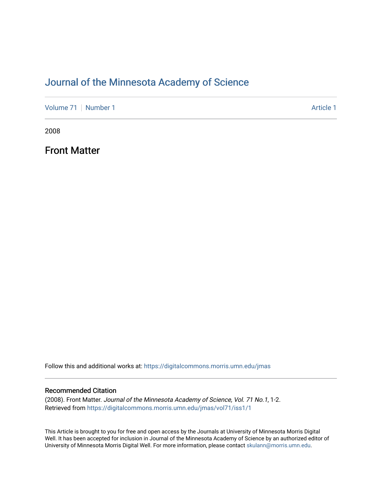## [Journal of the Minnesota Academy of Science](https://digitalcommons.morris.umn.edu/jmas)

[Volume 71](https://digitalcommons.morris.umn.edu/jmas/vol71) [Number 1](https://digitalcommons.morris.umn.edu/jmas/vol71/iss1) Article 1

2008

Front Matter

Follow this and additional works at: [https://digitalcommons.morris.umn.edu/jmas](https://digitalcommons.morris.umn.edu/jmas?utm_source=digitalcommons.morris.umn.edu%2Fjmas%2Fvol71%2Fiss1%2F1&utm_medium=PDF&utm_campaign=PDFCoverPages) 

#### Recommended Citation

(2008). Front Matter. Journal of the Minnesota Academy of Science, Vol. 71 No.1, 1-2. Retrieved from [https://digitalcommons.morris.umn.edu/jmas/vol71/iss1/1](https://digitalcommons.morris.umn.edu/jmas/vol71/iss1/1?utm_source=digitalcommons.morris.umn.edu%2Fjmas%2Fvol71%2Fiss1%2F1&utm_medium=PDF&utm_campaign=PDFCoverPages)

This Article is brought to you for free and open access by the Journals at University of Minnesota Morris Digital Well. It has been accepted for inclusion in Journal of the Minnesota Academy of Science by an authorized editor of University of Minnesota Morris Digital Well. For more information, please contact [skulann@morris.umn.edu](mailto:skulann@morris.umn.edu).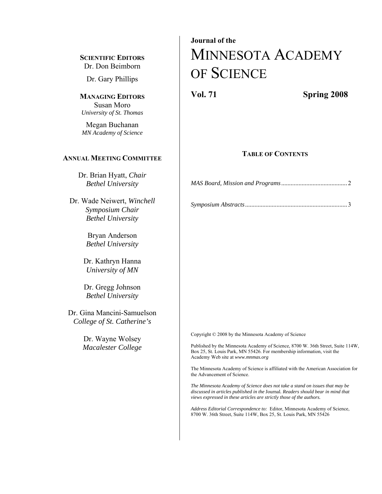**SCIENTIFIC EDITORS** Dr. Don Beimborn

Dr. Gary Phillips

**MANAGING EDITORS** Susan Moro *University of St. Thomas*

Megan Buchanan *MN Academy of Science* 

#### **ANNUAL MEETING COMMITTEE**

Dr. Brian Hyatt, *Chair Bethel University* 

Dr. Wade Neiwert, *Winchell Symposium Chair Bethel University*

> Bryan Anderson *Bethel University*

Dr. Kathryn Hanna *University of MN* 

Dr. Gregg Johnson *Bethel University*

Dr. Gina Mancini-Samuelson *College of St. Catherine's*

> Dr. Wayne Wolsey *Macalester College*

# **Journal of the**  MINNESOTA ACADEMY OF SCIENCE

**Vol. 71 Spring 2008** 

#### **TABLE OF CONTENTS**

*MAS Board, Mission and Programs ..........................................*2

|--|--|--|

Copyright © 2008 by the Minnesota Academy of Science

Published by the Minnesota Academy of Science, 8700 W. 36th Street, Suite 114W, Box 25, St. Louis Park, MN 55426. For membership information, visit the Academy Web site at *www.mnmas.org*

The Minnesota Academy of Science is affiliated with the American Association for the Advancement of Science.

*The Minnesota Academy of Science does not take a stand on issues that may be discussed in articles published in the* Journal*. Readers should bear in mind that views expressed in these articles are strictly those of the authors.* 

*Address Editorial Correspondence to:* Editor, Minnesota Academy of Science, 8700 W. 36th Street, Suite 114W, Box 25, St. Louis Park, MN 55426